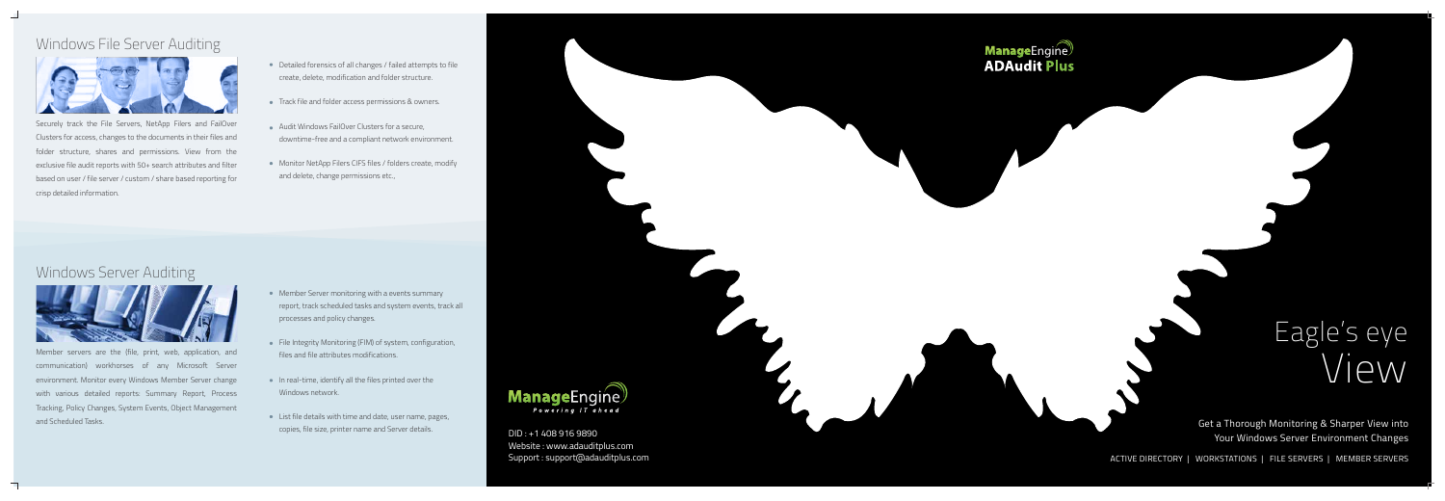Get a Thorough Monitoring & Sharper View into Your Windows Server Environment Changes

ACTIVE DIRECTORY | WORKSTATIONS | FILE SERVERS | MEMBER SERVERS



DID : +1 408 916 9890 Website : www.adauditplus.com Support : support@adauditplus.com



# Eagle's eye  $\sqrt{P}$

# Windows File Server Auditing



Securely track the File Servers, NetApp Filers and FailOver Clusters for access, changes to the documents in their files and folder structure, shares and permissions. View from the exclusive file audit reports with 50+ search attributes and filter based on user / file server / custom / share based reporting for crisp detailed information.

- Detailed forensics of all changes / failed attempts to file create, delete, modification and folder structure.
- Track file and folder access permissions & owners.
- Audit Windows FailOver Clusters for a secure, downtime-free and a compliant network environment.
- Monitor NetApp Filers CIFS files / folders create, modify and delete, change permissions etc.,

# Windows Server Auditing



Member servers are the (file, print, web, application, and communication) workhorses of any Microsoft Server environment. Monitor every Windows Member Server change with various detailed reports: Summary Report, Process Tracking, Policy Changes, System Events, Object Management and Scheduled Tasks.

- Member Server monitoring with a events summary report, track scheduled tasks and system events, track all processes and policy changes.
- File Integrity Monitoring (FIM) of system, configuration, files and file attributes modifications.
- In real-time, identify all the files printed over the Windows network.
- List file details with time and date, user name, pages, copies, file size, printer name and Server details.